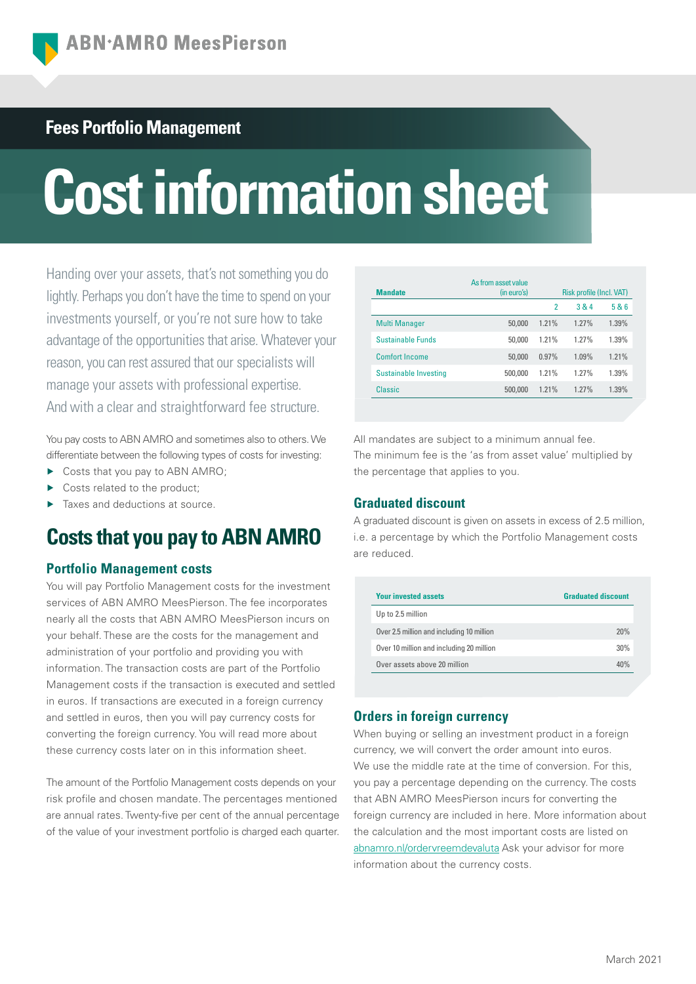# **Fees Portfolio Management**

# **Cost information sheet**

Handing over your assets, that's not something you do lightly. Perhaps you don't have the time to spend on your investments yourself, or you're not sure how to take advantage of the opportunities that arise. Whatever your reason, you can rest assured that our specialists will manage your assets with professional expertise. And with a clear and straightforward fee structure.

You pay costs to ABN AMRO and sometimes also to others. We differentiate between the following types of costs for investing:

- ▶ Costs that you pay to ABN AMRO;
- Costs related to the product:
- Taxes and deductions at source.

# **Costs that you pay to ABN AMRO**

## **Portfolio Management costs**

You will pay Portfolio Management costs for the investment services of ABN AMRO MeesPierson. The fee incorporates nearly all the costs that ABN AMRO MeesPierson incurs on your behalf. These are the costs for the management and administration of your portfolio and providing you with information. The transaction costs are part of the Portfolio Management costs if the transaction is executed and settled in euros. If transactions are executed in a foreign currency and settled in euros, then you will pay currency costs for converting the foreign currency. You will read more about these currency costs later on in this information sheet.

The amount of the Portfolio Management costs depends on your risk profile and chosen mandate. The percentages mentioned are annual rates. Twenty-five per cent of the annual percentage of the value of your investment portfolio is charged each quarter.

| <b>Mandate</b>               | As from asset value<br>(in euro's) |                | Risk profile (Incl. VAT) |       |
|------------------------------|------------------------------------|----------------|--------------------------|-------|
|                              |                                    | $\overline{2}$ | 3 & 4                    | 5 & 6 |
| <b>Multi Manager</b>         | 50,000                             | 1.21%          | 1.27%                    | 1.39% |
| <b>Sustainable Funds</b>     | 50,000                             | 1.21%          | 1.27%                    | 1.39% |
| Comfort Income               | 50,000                             | 0.97%          | 1.09%                    | 1.21% |
| <b>Sustainable Investing</b> | 500,000                            | 1.21%          | 1.27%                    | 1.39% |
| Classic                      | 500,000                            | 1.21%          | 1.27%                    | 1.39% |

All mandates are subject to a minimum annual fee. The minimum fee is the 'as from asset value' multiplied by the percentage that applies to you.

# **Graduated discount**

A graduated discount is given on assets in excess of 2.5 million, i.e. a percentage by which the Portfolio Management costs are reduced.

| <b>Your invested assets</b>               | <b>Graduated discount</b> |  |
|-------------------------------------------|---------------------------|--|
| Up to 2.5 million                         |                           |  |
| Over 2.5 million and including 10 million | 20%                       |  |
| Over 10 million and including 20 million  | 30%                       |  |
| Over assets above 20 million              | 40%                       |  |

# **Orders in foreign currency**

When buying or selling an investment product in a foreign currency, we will convert the order amount into euros. We use the middle rate at the time of conversion. For this, you pay a percentage depending on the currency. The costs that ABN AMRO MeesPierson incurs for converting the foreign currency are included in here. More information about the calculation and the most important costs are listed on [abnamro.nl/ordervreemdevaluta](https://www.abnamro.nl/nl/prive/beleggen/service/beleggingsorders/voorbeeld.html) Ask your advisor for more information about the currency costs.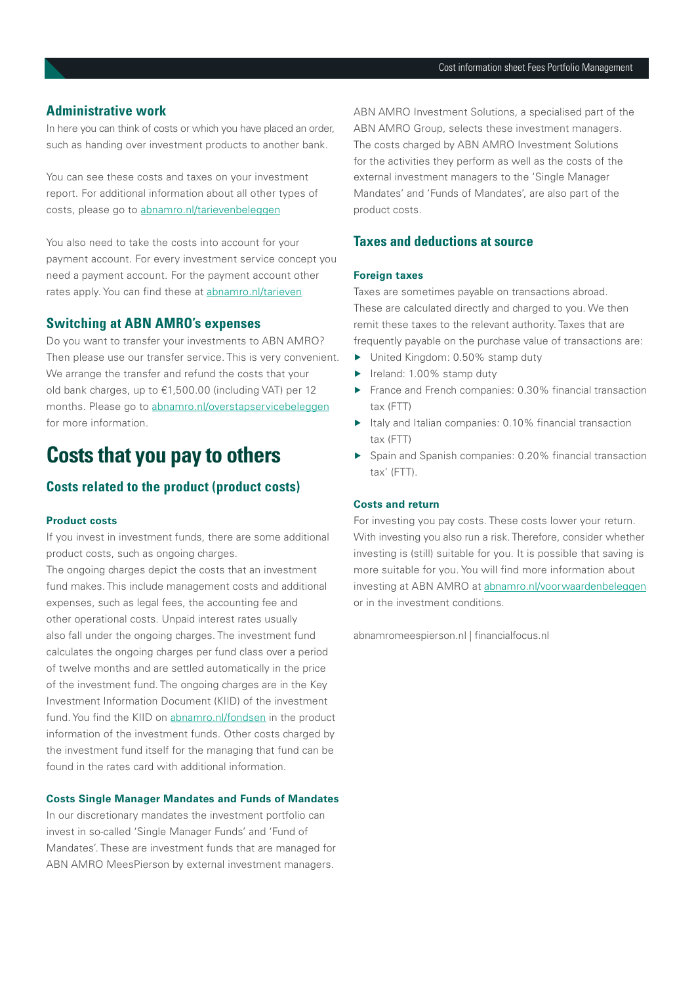## **Administrative work**

In here you can think of costs or which you have placed an order, such as handing over investment products to another bank.

You can see these costs and taxes on your investment report. For additional information about all other types of costs, please go to abnamro.nl/tarievenbeleggen

You also need to take the costs into account for your payment account. For every investment service concept you need a payment account. For the payment account other rates apply. You can find these at abnamro.nl/tarieven

#### **Switching at ABN AMRO's expenses**

Do you want to transfer your investments to ABN AMRO? Then please use our transfer service. This is very convenient. We arrange the transfer and refund the costs that your old bank charges, up to €1,500.00 (including VAT) per 12 months. Please go to abnamro.nl/overstapservicebeleggen for more information.

# **Costs that you pay to others**

## **Costs related to the product (product costs)**

#### **Product costs**

If you invest in investment funds, there are some additional product costs, such as ongoing charges.

The ongoing charges depict the costs that an investment fund makes. This include management costs and additional expenses, such as legal fees, the accounting fee and other operational costs. Unpaid interest rates usually also fall under the ongoing charges. The investment fund calculates the ongoing charges per fund class over a period of twelve months and are settled automatically in the price of the investment fund. The ongoing charges are in the Key Investment Information Document (KIID) of the investment fund. You find the KIID on [abnamro.nl/fondsen](https://www.abnamro.nl/nl/prive/beleggen/koersinformatie/beleggingsfondsen.html) in the product information of the investment funds. Other costs charged by the investment fund itself for the managing that fund can be found in the rates card with additional information.

#### **Costs Single Manager Mandates and Funds of Mandates**

In our discretionary mandates the investment portfolio can invest in so-called 'Single Manager Funds' and 'Fund of Mandates'. These are investment funds that are managed for ABN AMRO MeesPierson by external investment managers.

ABN AMRO Investment Solutions, a specialised part of the ABN AMRO Group, selects these investment managers. The costs charged by ABN AMRO Investment Solutions for the activities they perform as well as the costs of the external investment managers to the 'Single Manager Mandates' and 'Funds of Mandates', are also part of the product costs.

## **Taxes and deductions at source**

#### **Foreign taxes**

Taxes are sometimes payable on transactions abroad. These are calculated directly and charged to you. We then remit these taxes to the relevant authority. Taxes that are frequently payable on the purchase value of transactions are:

- ▶ United Kingdom: 0.50% stamp duty
- ▶ Ireland: 1.00% stamp duty
- ▶ France and French companies: 0.30% financial transaction tax (FTT)
- ▶ Italy and Italian companies: 0.10% financial transaction tax (FTT)
- ▶ Spain and Spanish companies: 0.20% financial transaction tax' (FTT).

#### **Costs and return**

For investing you pay costs. These costs lower your return. With investing you also run a risk. Therefore, consider whether investing is (still) suitable for you. It is possible that saving is more suitable for you. You will find more information about investing at ABN AMRO at abnamro.nl/voorwaardenbeleggen or in the investment conditions.

abnamromeespierson.nl | financialfocus.nl